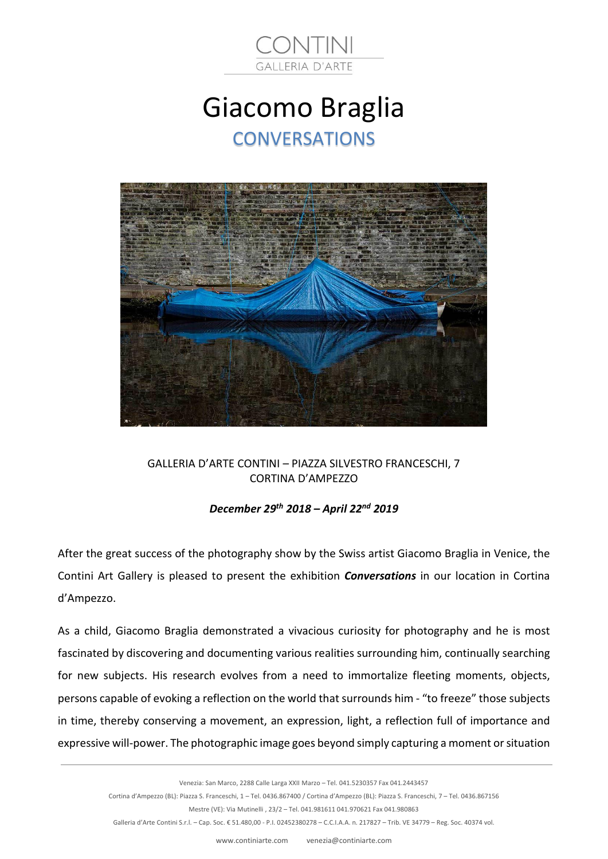

### Giacomo Braglia **CONVERSATIONS**



GALLERIA D'ARTE CONTINI – PIAZZA SILVESTRO FRANCESCHI, 7 CORTINA D'AMPEZZO

### *December 29th 2018 – April 22nd 2019*

After the great success of the photography show by the Swiss artist Giacomo Braglia in Venice, the Contini Art Gallery is pleased to present the exhibition *Conversations* in our location in Cortina d'Ampezzo.

As a child, Giacomo Braglia demonstrated a vivacious curiosity for photography and he is most fascinated by discovering and documenting various realities surrounding him, continually searching for new subjects. His research evolves from a need to immortalize fleeting moments, objects, persons capable of evoking a reflection on the world that surrounds him - "to freeze" those subjects in time, thereby conserving a movement, an expression, light, a reflection full of importance and expressive will-power. The photographic image goes beyond simply capturing a moment or situation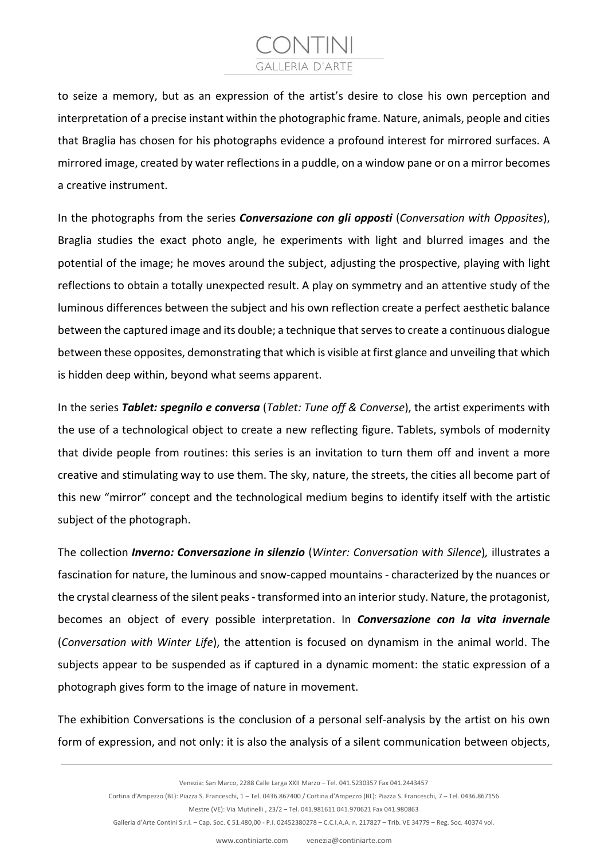# GALLERIA D'ARTE

to seize a memory, but as an expression of the artist's desire to close his own perception and interpretation of a precise instant within the photographic frame. Nature, animals, people and cities that Braglia has chosen for his photographs evidence a profound interest for mirrored surfaces. A mirrored image, created by water reflections in a puddle, on a window pane or on a mirror becomes a creative instrument.

In the photographs from the series *Conversazione con gli opposti* (*Conversation with Opposites*), Braglia studies the exact photo angle, he experiments with light and blurred images and the potential of the image; he moves around the subject, adjusting the prospective, playing with light reflections to obtain a totally unexpected result. A play on symmetry and an attentive study of the luminous differences between the subject and his own reflection create a perfect aesthetic balance between the captured image and its double; a technique that serves to create a continuous dialogue between these opposites, demonstrating that which is visible at first glance and unveiling that which is hidden deep within, beyond what seems apparent.

In the series *Tablet: spegnilo e conversa* (*Tablet: Tune off & Converse*), the artist experiments with the use of a technological object to create a new reflecting figure. Tablets, symbols of modernity that divide people from routines: this series is an invitation to turn them off and invent a more creative and stimulating way to use them. The sky, nature, the streets, the cities all become part of this new "mirror" concept and the technological medium begins to identify itself with the artistic subject of the photograph.

The collection *Inverno: Conversazione in silenzio* (*Winter: Conversation with Silence*)*,* illustrates a fascination for nature, the luminous and snow-capped mountains - characterized by the nuances or the crystal clearness of the silent peaks - transformed into an interior study. Nature, the protagonist, becomes an object of every possible interpretation. In *Conversazione con la vita invernale* (*Conversation with Winter Life*), the attention is focused on dynamism in the animal world. The subjects appear to be suspended as if captured in a dynamic moment: the static expression of a photograph gives form to the image of nature in movement.

The exhibition Conversations is the conclusion of a personal self-analysis by the artist on his own form of expression, and not only: it is also the analysis of a silent communication between objects,